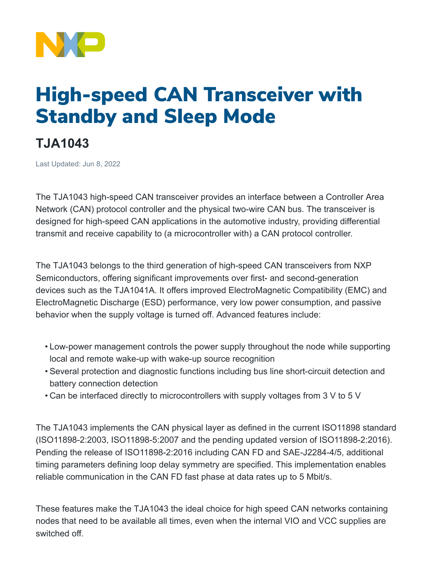

## High-speed CAN Transceiver with Standby and Sleep Mode

## **TJA1043**

Last Updated: Jun 8, 2022

The TJA1043 high-speed CAN transceiver provides an interface between a Controller Area Network (CAN) protocol controller and the physical two-wire CAN bus. The transceiver is designed for high-speed CAN applications in the automotive industry, providing differential transmit and receive capability to (a microcontroller with) a CAN protocol controller.

The TJA1043 belongs to the third generation of high-speed CAN transceivers from NXP Semiconductors, offering significant improvements over first- and second-generation devices such as the TJA1041A. It offers improved ElectroMagnetic Compatibility (EMC) and ElectroMagnetic Discharge (ESD) performance, very low power consumption, and passive behavior when the supply voltage is turned off. Advanced features include:

- Low-power management controls the power supply throughout the node while supporting local and remote wake-up with wake-up source recognition
- Several protection and diagnostic functions including bus line short-circuit detection and battery connection detection
- Can be interfaced directly to microcontrollers with supply voltages from 3 V to 5 V

The TJA1043 implements the CAN physical layer as defined in the current ISO11898 standard (ISO11898-2:2003, ISO11898-5:2007 and the pending updated version of ISO11898-2:2016). Pending the release of ISO11898-2:2016 including CAN FD and SAE-J2284-4/5, additional timing parameters defining loop delay symmetry are specified. This implementation enables reliable communication in the CAN FD fast phase at data rates up to 5 Mbit/s.

These features make the TJA1043 the ideal choice for high speed CAN networks containing nodes that need to be available all times, even when the internal VIO and VCC supplies are switched off.